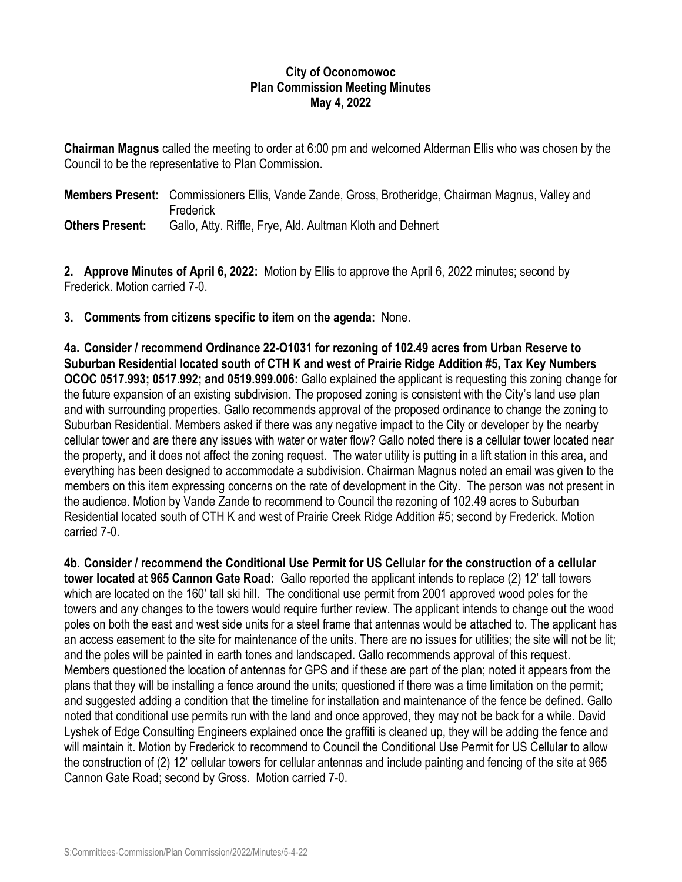## **City of Oconomowoc Plan Commission Meeting Minutes May 4, 2022**

**Chairman Magnus** called the meeting to order at 6:00 pm and welcomed Alderman Ellis who was chosen by the Council to be the representative to Plan Commission.

**Members Present:** Commissioners Ellis, Vande Zande, Gross, Brotheridge, Chairman Magnus, Valley and **Frederick Others Present:** Gallo, Atty. Riffle, Frye, Ald. Aultman Kloth and Dehnert

**2. Approve Minutes of April 6, 2022:** Motion by Ellis to approve the April 6, 2022 minutes; second by Frederick. Motion carried 7-0.

**3. Comments from citizens specific to item on the agenda:** None.

**4a. Consider / recommend Ordinance 22-O1031 for rezoning of 102.49 acres from Urban Reserve to Suburban Residential located south of CTH K and west of Prairie Ridge Addition #5, Tax Key Numbers OCOC 0517.993; 0517.992; and 0519.999.006:** Gallo explained the applicant is requesting this zoning change for the future expansion of an existing subdivision. The proposed zoning is consistent with the City's land use plan and with surrounding properties. Gallo recommends approval of the proposed ordinance to change the zoning to Suburban Residential. Members asked if there was any negative impact to the City or developer by the nearby cellular tower and are there any issues with water or water flow? Gallo noted there is a cellular tower located near the property, and it does not affect the zoning request. The water utility is putting in a lift station in this area, and everything has been designed to accommodate a subdivision. Chairman Magnus noted an email was given to the members on this item expressing concerns on the rate of development in the City. The person was not present in the audience. Motion by Vande Zande to recommend to Council the rezoning of 102.49 acres to Suburban Residential located south of CTH K and west of Prairie Creek Ridge Addition #5; second by Frederick. Motion carried 7-0.

**4b. Consider / recommend the Conditional Use Permit for US Cellular for the construction of a cellular tower located at 965 Cannon Gate Road:** Gallo reported the applicant intends to replace (2) 12' tall towers which are located on the 160' tall ski hill. The conditional use permit from 2001 approved wood poles for the towers and any changes to the towers would require further review. The applicant intends to change out the wood poles on both the east and west side units for a steel frame that antennas would be attached to. The applicant has an access easement to the site for maintenance of the units. There are no issues for utilities; the site will not be lit; and the poles will be painted in earth tones and landscaped. Gallo recommends approval of this request. Members questioned the location of antennas for GPS and if these are part of the plan; noted it appears from the plans that they will be installing a fence around the units; questioned if there was a time limitation on the permit; and suggested adding a condition that the timeline for installation and maintenance of the fence be defined. Gallo noted that conditional use permits run with the land and once approved, they may not be back for a while. David Lyshek of Edge Consulting Engineers explained once the graffiti is cleaned up, they will be adding the fence and will maintain it. Motion by Frederick to recommend to Council the Conditional Use Permit for US Cellular to allow the construction of (2) 12' cellular towers for cellular antennas and include painting and fencing of the site at 965 Cannon Gate Road; second by Gross. Motion carried 7-0.